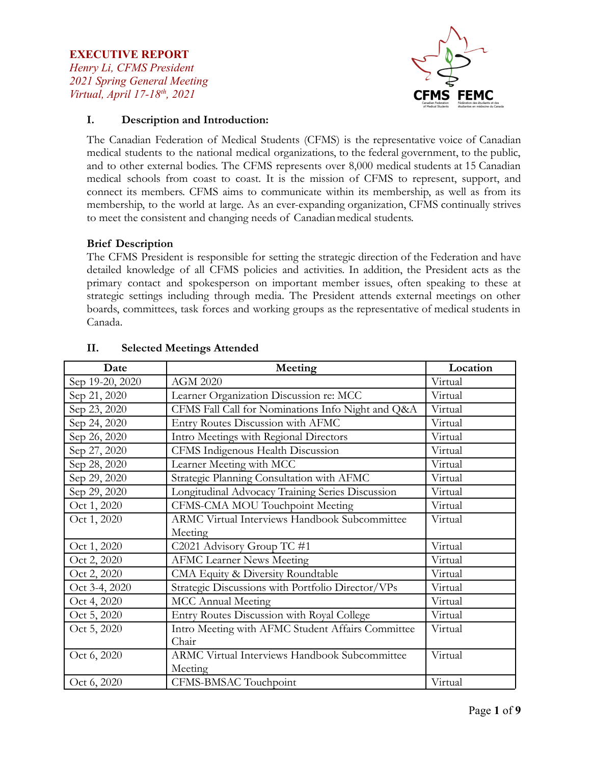## **EXECUTIVE REPORT** *Henry Li, CFMS President 2021 Spring General Meeting Virtual, April 17-18th , 2021*



## **I. Description and Introduction:**

The Canadian Federation of Medical Students (CFMS) is the representative voice of Canadian medical students to the national medical organizations, to the federal government, to the public, and to other external bodies. The CFMS represents over 8,000 medical students at 15 Canadian medical schools from coast to coast. It is the mission of CFMS to represent, support, and connect its members. CFMS aims to communicate within its membership, as well as from its membership, to the world at large. As an ever-expanding organization, CFMS continually strives to meet the consistent and changing needs of Canadian medical students.

### **Brief Description**

The CFMS President is responsible for setting the strategic direction of the Federation and have detailed knowledge of all CFMS policies and activities. In addition, the President acts as the primary contact and spokesperson on important member issues, often speaking to these at strategic settings including through media. The President attends external meetings on other boards, committees, task forces and working groups as the representative of medical students in Canada.

| Date            | Meeting                                              | Location |
|-----------------|------------------------------------------------------|----------|
| Sep 19-20, 2020 | <b>AGM 2020</b>                                      | Virtual  |
| Sep 21, 2020    | Learner Organization Discussion re: MCC              | Virtual  |
| Sep 23, 2020    | CFMS Fall Call for Nominations Info Night and Q&A    | Virtual  |
| Sep 24, 2020    | Entry Routes Discussion with AFMC                    | Virtual  |
| Sep 26, 2020    | Intro Meetings with Regional Directors               | Virtual  |
| Sep 27, 2020    | CFMS Indigenous Health Discussion                    | Virtual  |
| Sep 28, 2020    | Learner Meeting with MCC                             | Virtual  |
| Sep 29, 2020    | Strategic Planning Consultation with AFMC            | Virtual  |
| Sep 29, 2020    | Longitudinal Advocacy Training Series Discussion     | Virtual  |
| Oct 1, 2020     | CFMS-CMA MOU Touchpoint Meeting                      | Virtual  |
| Oct 1, 2020     | ARMC Virtual Interviews Handbook Subcommittee        | Virtual  |
|                 | Meeting                                              |          |
| Oct 1, 2020     | C2021 Advisory Group TC #1                           | Virtual  |
| Oct 2, 2020     | <b>AFMC Learner News Meeting</b>                     | Virtual  |
| Oct 2, 2020     | CMA Equity & Diversity Roundtable                    | Virtual  |
| Oct 3-4, 2020   | Strategic Discussions with Portfolio Director/VPs    | Virtual  |
| Oct 4, 2020     | <b>MCC</b> Annual Meeting                            | Virtual  |
| Oct 5, 2020     | Entry Routes Discussion with Royal College           | Virtual  |
| Oct 5, 2020     | Intro Meeting with AFMC Student Affairs Committee    | Virtual  |
|                 | Chair                                                |          |
| Oct 6, 2020     | <b>ARMC Virtual Interviews Handbook Subcommittee</b> | Virtual  |
|                 | Meeting                                              |          |
| Oct 6, 2020     | CFMS-BMSAC Touchpoint                                | Virtual  |

## **II. Selected Meetings Attended**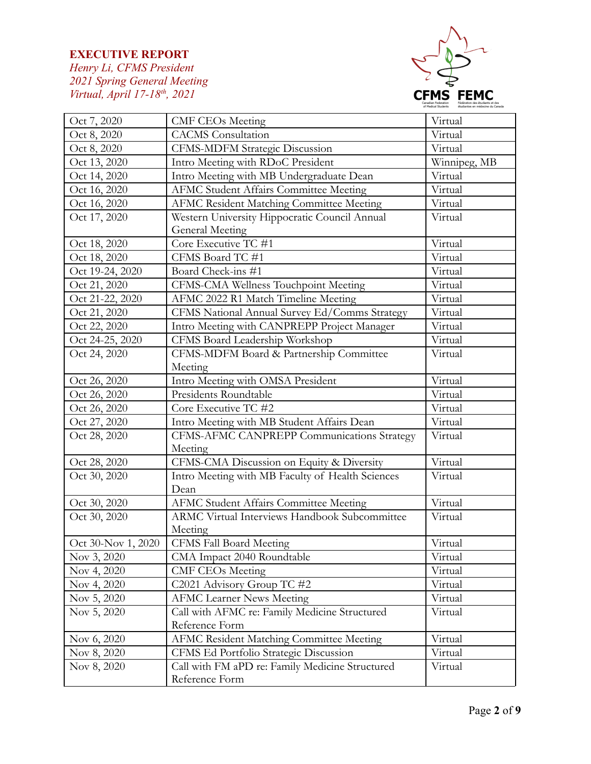

| Oct 7, 2020        | <b>CMF CEOs Meeting</b>                              | Virtual      |
|--------------------|------------------------------------------------------|--------------|
| Oct 8, 2020        | <b>CACMS</b> Consultation                            | Virtual      |
| Oct 8, 2020        | <b>CFMS-MDFM Strategic Discussion</b>                | Virtual      |
| Oct 13, 2020       | Intro Meeting with RDoC President                    | Winnipeg, MB |
| Oct 14, 2020       | Intro Meeting with MB Undergraduate Dean             | Virtual      |
| Oct 16, 2020       | <b>AFMC Student Affairs Committee Meeting</b>        | Virtual      |
| Oct 16, 2020       | AFMC Resident Matching Committee Meeting             | Virtual      |
| Oct 17, 2020       | Western University Hippocratic Council Annual        | Virtual      |
|                    | <b>General Meeting</b>                               |              |
| Oct 18, 2020       | Core Executive TC #1                                 | Virtual      |
| Oct 18, 2020       | CFMS Board TC #1                                     | Virtual      |
| Oct 19-24, 2020    | Board Check-ins #1                                   | Virtual      |
| Oct 21, 2020       | CFMS-CMA Wellness Touchpoint Meeting                 | Virtual      |
| Oct 21-22, 2020    | AFMC 2022 R1 Match Timeline Meeting                  | Virtual      |
| Oct 21, 2020       | CFMS National Annual Survey Ed/Comms Strategy        | Virtual      |
| Oct 22, 2020       | Intro Meeting with CANPREPP Project Manager          | Virtual      |
| Oct 24-25, 2020    | CFMS Board Leadership Workshop                       | Virtual      |
| Oct 24, 2020       | CFMS-MDFM Board & Partnership Committee              | Virtual      |
|                    | Meeting                                              |              |
| Oct 26, 2020       | Intro Meeting with OMSA President                    | Virtual      |
| Oct 26, 2020       | Presidents Roundtable                                | Virtual      |
| Oct 26, 2020       | Core Executive TC #2                                 | Virtual      |
| Oct 27, 2020       | Intro Meeting with MB Student Affairs Dean           | Virtual      |
| Oct 28, 2020       | CFMS-AFMC CANPREPP Communications Strategy           | Virtual      |
|                    | Meeting                                              |              |
| Oct 28, 2020       | CFMS-CMA Discussion on Equity & Diversity            | Virtual      |
| Oct 30, 2020       | Intro Meeting with MB Faculty of Health Sciences     | Virtual      |
|                    | Dean                                                 |              |
| Oct 30, 2020       | <b>AFMC Student Affairs Committee Meeting</b>        | Virtual      |
| Oct 30, 2020       | <b>ARMC Virtual Interviews Handbook Subcommittee</b> | Virtual      |
|                    | Meeting                                              |              |
| Oct 30-Nov 1, 2020 | CFMS Fall Board Meeting                              | Virtual      |
| Nov 3, 2020        | CMA Impact 2040 Roundtable                           | Virtual      |
| Nov 4, 2020        | <b>CMF CEOs Meeting</b>                              | Virtual      |
| Nov 4, 2020        | C2021 Advisory Group TC #2                           | Virtual      |
| Nov 5, 2020        | <b>AFMC Learner News Meeting</b>                     | Virtual      |
| Nov 5, 2020        | Call with AFMC re: Family Medicine Structured        | Virtual      |
|                    | Reference Form                                       |              |
| Nov 6, 2020        | AFMC Resident Matching Committee Meeting             | Virtual      |
| Nov 8, 2020        | CFMS Ed Portfolio Strategic Discussion               | Virtual      |
| Nov 8, 2020        | Call with FM aPD re: Family Medicine Structured      | Virtual      |
|                    | Reference Form                                       |              |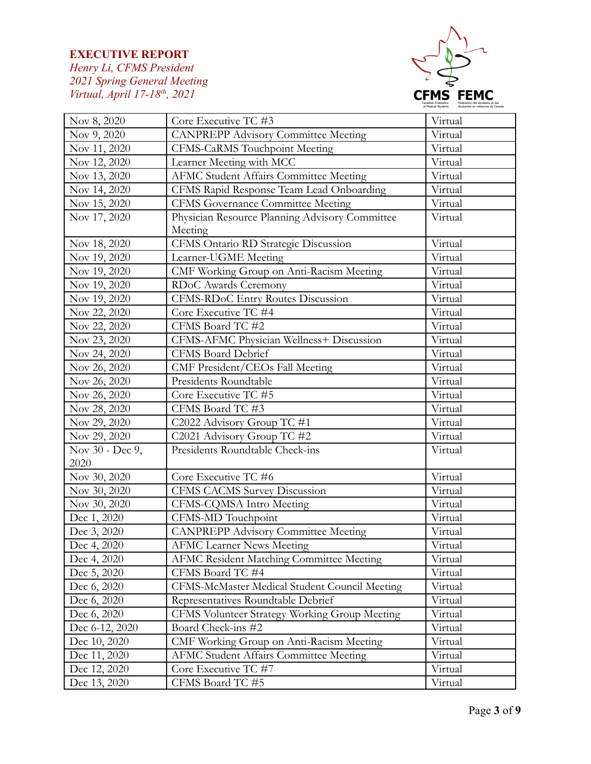

| Nov 8, 2020     | Core Executive TC #3                           | Virtual |
|-----------------|------------------------------------------------|---------|
| Nov 9, 2020     | <b>CANPREPP Advisory Committee Meeting</b>     | Virtual |
| Nov 11, 2020    | <b>CFMS-CaRMS</b> Touchpoint Meeting           | Virtual |
| Nov 12, 2020    | Learner Meeting with MCC                       | Virtual |
| Nov 13, 2020    | <b>AFMC Student Affairs Committee Meeting</b>  | Virtual |
| Nov 14, 2020    | CFMS Rapid Response Team Lead Onboarding       | Virtual |
| Nov 15, 2020    | <b>CFMS Governance Committee Meeting</b>       | Virtual |
| Nov 17, 2020    | Physician Resource Planning Advisory Committee | Virtual |
|                 | Meeting                                        |         |
| Nov 18, 2020    | CFMS Ontario RD Strategic Discussion           | Virtual |
| Nov 19, 2020    | Learner-UGME Meeting                           | Virtual |
| Nov 19, 2020    | CMF Working Group on Anti-Racism Meeting       | Virtual |
| Nov 19, 2020    | RDoC Awards Ceremony                           | Virtual |
| Nov 19, 2020    | CFMS-RDoC Entry Routes Discussion              | Virtual |
| Nov 22, 2020    | Core Executive TC #4                           | Virtual |
| Nov 22, 2020    | CFMS Board TC #2                               | Virtual |
| Nov 23, 2020    | CFMS-AFMC Physician Wellness+ Discussion       | Virtual |
| Nov 24, 2020    | <b>CFMS Board Debrief</b>                      | Virtual |
| Nov 26, 2020    | CMF President/CEOs Fall Meeting                | Virtual |
| Nov 26, 2020    | Presidents Roundtable                          | Virtual |
| Nov 26, 2020    | Core Executive TC #5                           | Virtual |
| Nov 28, 2020    | CFMS Board TC #3                               | Virtual |
| Nov 29, 2020    | C2022 Advisory Group TC #1                     | Virtual |
| Nov 29, 2020    | C2021 Advisory Group TC #2                     | Virtual |
| Nov 30 - Dec 9, | Presidents Roundtable Check-ins                | Virtual |
| 2020            |                                                |         |
| Nov 30, 2020    | Core Executive TC #6                           | Virtual |
| Nov 30, 2020    | CFMS CACMS Survey Discussion                   | Virtual |
| Nov 30, 2020    | CFMS-CQMSA Intro Meeting                       | Virtual |
| Dec 1, 2020     | CFMS-MD Touchpoint                             | Virtual |
| Dec 3, 2020     | <b>CANPREPP Advisory Committee Meeting</b>     | Virtual |
| Dec 4, 2020     | AFMC Learner News Meeting                      | Virtual |
| Dec 4, 2020     | AFMC Resident Matching Committee Meeting       | Virtual |
| Dec 5, 2020     | CFMS Board TC #4                               | Virtual |
| Dec 6, 2020     | CFMS-McMaster Medical Student Council Meeting  | Virtual |
| Dec 6, 2020     | Representatives Roundtable Debrief             | Virtual |
| Dec 6, 2020     | CFMS Volunteer Strategy Working Group Meeting  | Virtual |
| Dec 6-12, 2020  | Board Check-ins #2                             | Virtual |
| Dec 10, 2020    | CMF Working Group on Anti-Racism Meeting       | Virtual |
| Dec 11, 2020    | <b>AFMC Student Affairs Committee Meeting</b>  | Virtual |
| Dec 12, 2020    | Core Executive TC #7                           | Virtual |
| Dec 13, 2020    | CFMS Board TC #5                               | Virtual |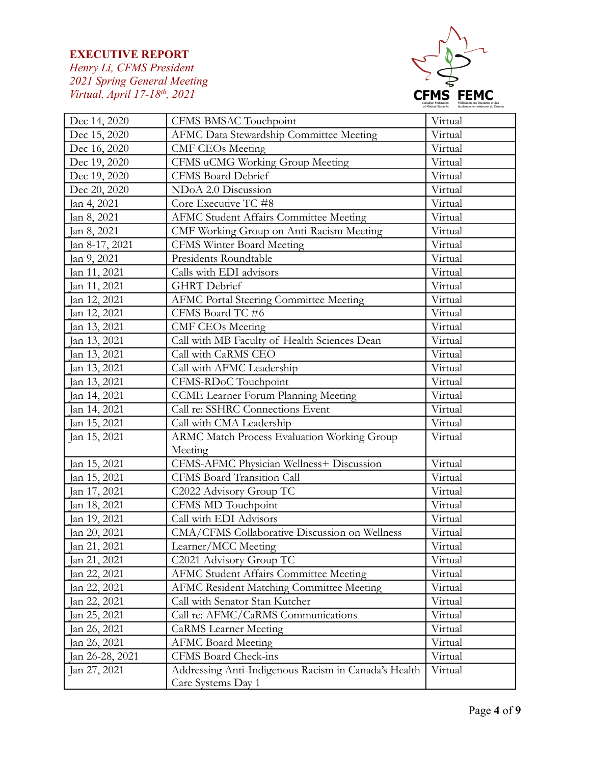

| Dec 14, 2020    | CFMS-BMSAC Touchpoint                                | Virtual |
|-----------------|------------------------------------------------------|---------|
| Dec 15, 2020    | AFMC Data Stewardship Committee Meeting              | Virtual |
| Dec 16, 2020    | <b>CMF CEOs Meeting</b>                              | Virtual |
| Dec 19, 2020    | CFMS uCMG Working Group Meeting                      | Virtual |
| Dec 19, 2020    | CFMS Board Debrief                                   | Virtual |
| Dec 20, 2020    | NDoA 2.0 Discussion                                  | Virtual |
| Jan 4, 2021     | Core Executive TC #8                                 | Virtual |
| Jan 8, 2021     | <b>AFMC Student Affairs Committee Meeting</b>        | Virtual |
| Jan 8, 2021     | CMF Working Group on Anti-Racism Meeting             | Virtual |
| Jan 8-17, 2021  | <b>CFMS Winter Board Meeting</b>                     | Virtual |
| Jan 9, 2021     | Presidents Roundtable                                | Virtual |
| an 11, 2021     | Calls with EDI advisors                              | Virtual |
| Jan 11, 2021    | <b>GHRT</b> Debrief                                  | Virtual |
| an 12, 2021     | <b>AFMC Portal Steering Committee Meeting</b>        | Virtual |
| Jan 12, 2021    | CFMS Board TC #6                                     | Virtual |
| an 13, 2021     | <b>CMF CEOs Meeting</b>                              | Virtual |
| Jan 13, 2021    | Call with MB Faculty of Health Sciences Dean         | Virtual |
| Jan 13, 2021    | Call with CaRMS CEO                                  | Virtual |
| Jan 13, 2021    | Call with AFMC Leadership                            | Virtual |
| an 13, 2021     | CFMS-RDoC Touchpoint                                 | Virtual |
| Jan 14, 2021    | <b>CCME</b> Learner Forum Planning Meeting           | Virtual |
| Jan 14, 2021    | Call re: SSHRC Connections Event                     | Virtual |
| Jan 15, 2021    | Call with CMA Leadership                             | Virtual |
| Jan 15, 2021    | ARMC Match Process Evaluation Working Group          | Virtual |
|                 | Meeting                                              |         |
| Jan 15, 2021    | CFMS-AFMC Physician Wellness+ Discussion             | Virtual |
| Jan 15, 2021    | <b>CFMS Board Transition Call</b>                    | Virtual |
| Jan 17, 2021    | C2022 Advisory Group TC                              | Virtual |
| Jan 18, 2021    | CFMS-MD Touchpoint                                   | Virtual |
| Jan 19, 2021    | Call with EDI Advisors                               | Virtual |
| Jan 20, 2021    | CMA/CFMS Collaborative Discussion on Wellness        | Virtual |
| Jan 21, 2021    | Learner/MCC Meeting                                  | Virtual |
| Jan 21, 2021    | C2021 Advisory Group TC                              | Virtual |
| Jan 22, 2021    | <b>AFMC Student Affairs Committee Meeting</b>        | Virtual |
| an 22, 2021     | <b>AFMC Resident Matching Committee Meeting</b>      | Virtual |
| Jan 22, 2021    | Call with Senator Stan Kutcher                       | Virtual |
| Jan 25, 2021    | Call re: AFMC/CaRMS Communications                   | Virtual |
| an 26, 2021     | <b>CaRMS</b> Learner Meeting                         | Virtual |
| an 26, 2021     | <b>AFMC Board Meeting</b>                            | Virtual |
| Jan 26-28, 2021 | CFMS Board Check-ins                                 | Virtual |
| Jan 27, 2021    | Addressing Anti-Indigenous Racism in Canada's Health | Virtual |
|                 | Care Systems Day 1                                   |         |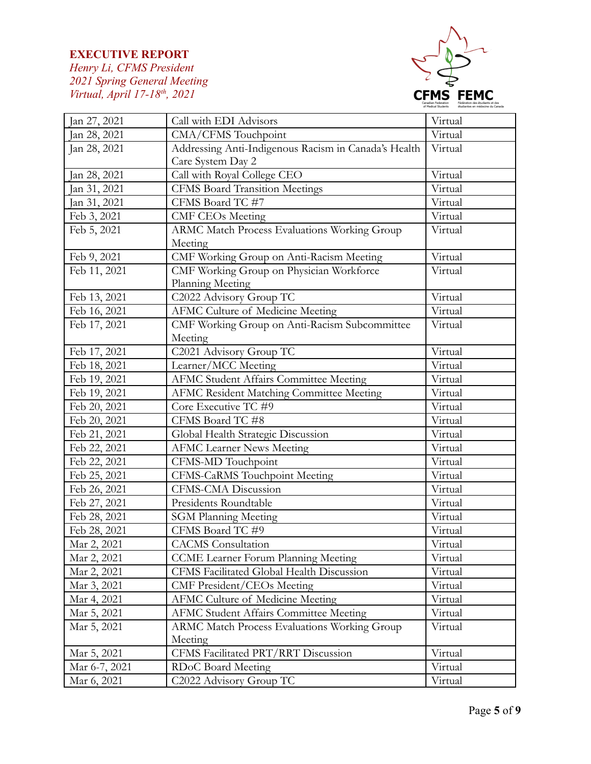

| Jan 27, 2021  | Call with EDI Advisors                               | Virtual |
|---------------|------------------------------------------------------|---------|
| Jan 28, 2021  | CMA/CFMS Touchpoint                                  | Virtual |
| Jan 28, 2021  | Addressing Anti-Indigenous Racism in Canada's Health | Virtual |
|               | Care System Day 2                                    |         |
| Jan 28, 2021  | Call with Royal College CEO                          | Virtual |
| Jan 31, 2021  | <b>CFMS Board Transition Meetings</b>                | Virtual |
| Jan 31, 2021  | CFMS Board TC #7                                     | Virtual |
| Feb 3, 2021   | <b>CMF CEOs Meeting</b>                              | Virtual |
| Feb 5, 2021   | <b>ARMC Match Process Evaluations Working Group</b>  | Virtual |
|               | Meeting                                              |         |
| Feb 9, 2021   | CMF Working Group on Anti-Racism Meeting             | Virtual |
| Feb 11, 2021  | CMF Working Group on Physician Workforce             | Virtual |
|               | Planning Meeting                                     |         |
| Feb 13, 2021  | C2022 Advisory Group TC                              | Virtual |
| Feb 16, 2021  | AFMC Culture of Medicine Meeting                     | Virtual |
| Feb 17, 2021  | CMF Working Group on Anti-Racism Subcommittee        | Virtual |
|               | Meeting                                              |         |
| Feb 17, 2021  | C2021 Advisory Group TC                              | Virtual |
| Feb 18, 2021  | Learner/MCC Meeting                                  | Virtual |
| Feb 19, 2021  | AFMC Student Affairs Committee Meeting               | Virtual |
| Feb 19, 2021  | AFMC Resident Matching Committee Meeting             | Virtual |
| Feb 20, 2021  | Core Executive TC #9                                 | Virtual |
| Feb 20, 2021  | CFMS Board TC #8                                     | Virtual |
| Feb 21, 2021  | Global Health Strategic Discussion                   | Virtual |
| Feb 22, 2021  | <b>AFMC Learner News Meeting</b>                     | Virtual |
| Feb 22, 2021  | CFMS-MD Touchpoint                                   | Virtual |
| Feb 25, 2021  | CFMS-CaRMS Touchpoint Meeting                        | Virtual |
| Feb 26, 2021  | CFMS-CMA Discussion                                  | Virtual |
| Feb 27, 2021  | Presidents Roundtable                                | Virtual |
| Feb 28, 2021  | <b>SGM Planning Meeting</b>                          | Virtual |
| Feb 28, 2021  | CFMS Board TC #9                                     | Virtual |
| Mar 2, 2021   | <b>CACMS</b> Consultation                            | Virtual |
| Mar 2, 2021   | CCME Learner Forum Planning Meeting                  | Virtual |
| Mar 2, 2021   | CFMS Facilitated Global Health Discussion            | Virtual |
| Mar 3, 2021   | <b>CMF President/CEOs Meeting</b>                    | Virtual |
| Mar 4, 2021   | <b>AFMC Culture of Medicine Meeting</b>              | Virtual |
| Mar 5, 2021   | <b>AFMC Student Affairs Committee Meeting</b>        | Virtual |
| Mar 5, 2021   | <b>ARMC Match Process Evaluations Working Group</b>  | Virtual |
|               | Meeting                                              |         |
| Mar 5, 2021   | CFMS Facilitated PRT/RRT Discussion                  | Virtual |
| Mar 6-7, 2021 | RDoC Board Meeting                                   | Virtual |
| Mar 6, 2021   | C2022 Advisory Group TC                              | Virtual |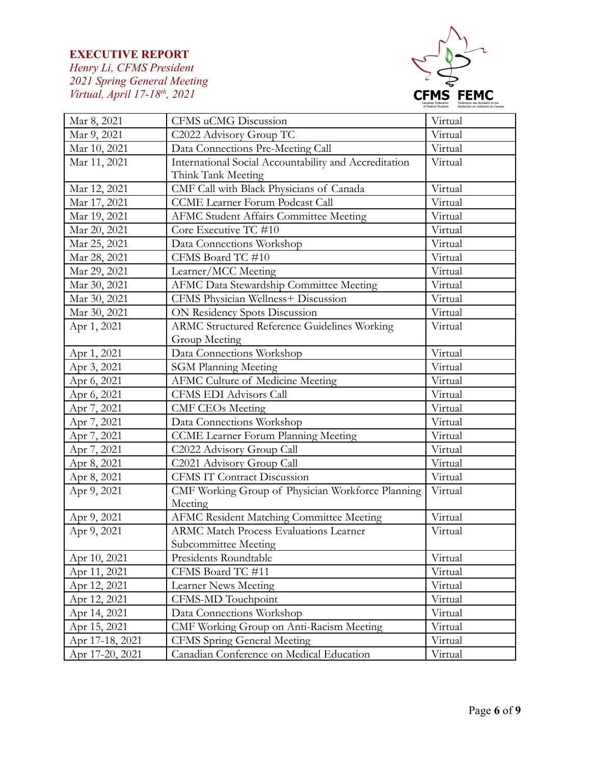

| Mar 8, 2021     | CFMS uCMG Discussion                                  | Virtual |
|-----------------|-------------------------------------------------------|---------|
| Mar 9, 2021     | C2022 Advisory Group TC                               | Virtual |
| Mar 10, 2021    | Data Connections Pre-Meeting Call                     | Virtual |
| Mar 11, 2021    | International Social Accountability and Accreditation | Virtual |
|                 | Think Tank Meeting                                    |         |
| Mar 12, 2021    | CMF Call with Black Physicians of Canada              | Virtual |
| Mar 17, 2021    | CCME Learner Forum Podcast Call                       | Virtual |
| Mar 19, 2021    | <b>AFMC Student Affairs Committee Meeting</b>         | Virtual |
| Mar 20, 2021    | Core Executive TC #10                                 | Virtual |
| Mar 25, 2021    | Data Connections Workshop                             | Virtual |
| Mar 28, 2021    | CFMS Board TC #10                                     | Virtual |
| Mar 29, 2021    | Learner/MCC Meeting                                   | Virtual |
| Mar 30, 2021    | AFMC Data Stewardship Committee Meeting               | Virtual |
| Mar 30, 2021    | CFMS Physician Wellness+ Discussion                   | Virtual |
| Mar 30, 2021    | ON Residency Spots Discussion                         | Virtual |
| Apr 1, 2021     | <b>ARMC Structured Reference Guidelines Working</b>   | Virtual |
|                 | Group Meeting                                         |         |
| Apr 1, 2021     | Data Connections Workshop                             | Virtual |
| Apr 3, 2021     | <b>SGM Planning Meeting</b>                           | Virtual |
| Apr 6, 2021     | <b>AFMC Culture of Medicine Meeting</b>               | Virtual |
| Apr 6, 2021     | CFMS EDI Advisors Call                                | Virtual |
| Apr 7, 2021     | <b>CMF CEOs Meeting</b>                               | Virtual |
| Apr 7, 2021     | Data Connections Workshop                             | Virtual |
| Apr 7, 2021     | CCME Learner Forum Planning Meeting                   | Virtual |
| Apr 7, 2021     | C2022 Advisory Group Call                             | Virtual |
| Apr 8, 2021     | C2021 Advisory Group Call                             | Virtual |
| Apr 8, 2021     | <b>CFMS IT Contract Discussion</b>                    | Virtual |
| Apr 9, 2021     | CMF Working Group of Physician Workforce Planning     | Virtual |
|                 | Meeting                                               |         |
| Apr 9, 2021     | AFMC Resident Matching Committee Meeting              | Virtual |
| Apr 9, 2021     | <b>ARMC Match Process Evaluations Learner</b>         | Virtual |
|                 | Subcommittee Meeting                                  |         |
| Apr 10, 2021    | Presidents Roundtable                                 | Virtual |
| Apr 11, 2021    | CFMS Board TC #11                                     | Virtual |
| Apr 12, 2021    | Learner News Meeting                                  | Virtual |
| Apr 12, 2021    | CFMS-MD Touchpoint                                    | Virtual |
| Apr 14, 2021    | Data Connections Workshop                             | Virtual |
| Apr 15, 2021    | CMF Working Group on Anti-Racism Meeting              | Virtual |
| Apr 17-18, 2021 | <b>CFMS</b> Spring General Meeting                    | Virtual |
| Apr 17-20, 2021 | Canadian Conference on Medical Education              | Virtual |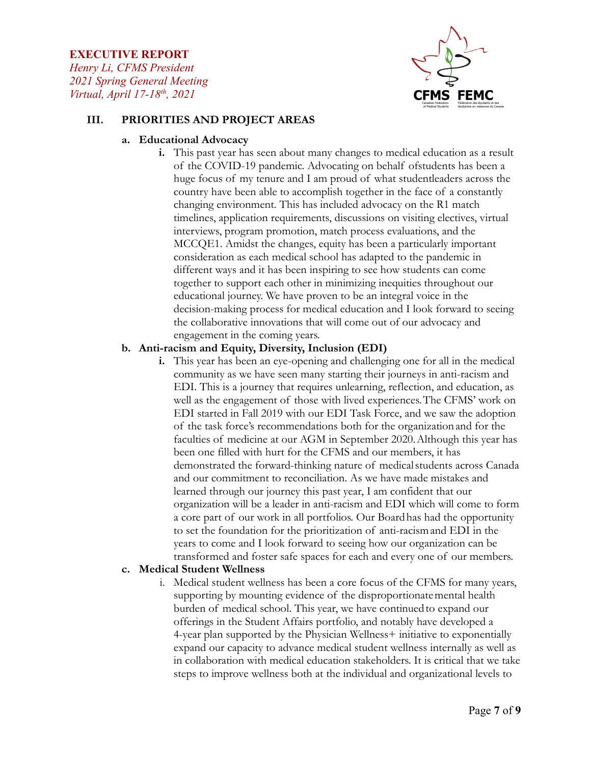*Henry Li, CFMS President 2021 Spring General Meeting Virtual, April 17-18th , 2021*



### **III. PRIORITIES AND PROJECT AREAS**

#### **a. Educational Advocacy**

**i.** This past year has seen about many changes to medical education as a result of the COVID-19 pandemic. Advocating on behalf ofstudents has been a huge focus of my tenure and I am proud of what studentleaders across the country have been able to accomplish together in the face of a constantly changing environment. This has included advocacy on the R1 match timelines, application requirements, discussions on visiting electives, virtual interviews, program promotion, match process evaluations, and the MCCQE1. Amidst the changes, equity has been a particularly important consideration as each medical school has adapted to the pandemic in different ways and it has been inspiring to see how students can come together to support each other in minimizing inequities throughout our educational journey. We have proven to be an integral voice in the decision-making process for medical education and I look forward to seeing the collaborative innovations that will come out of our advocacy and engagement in the coming years.

#### **b. Anti-racism and Equity, Diversity, Inclusion (EDI)**

**i.** This year has been an eye-opening and challenging one for all in the medical community as we have seen many starting their journeys in anti-racism and EDI. This is a journey that requires unlearning, reflection, and education, as well as the engagement of those with lived experiences.The CFMS' work on EDI started in Fall 2019 with our EDI Task Force, and we saw the adoption of the task force's recommendations both for the organizationand for the faculties of medicine at our AGM in September 2020.Although this year has been one filled with hurt for the CFMS and our members, it has demonstrated the forward-thinking nature of medicalstudents across Canada and our commitment to reconciliation. As we have made mistakes and learned through our journey this past year, I am confident that our organization will be a leader in anti-racism and EDI which will come to form a core part of our work in all portfolios. Our Boardhas had the opportunity to set the foundation for the prioritization of anti-racismand EDI in the years to come and I look forward to seeing how our organization can be transformed and foster safe spaces for each and every one of our members.

#### **c. Medical Student Wellness**

i. Medical student wellness has been a core focus of the CFMS for many years, supporting by mounting evidence of the disproportionatemental health burden of medical school. This year, we have continuedto expand our offerings in the Student Affairs portfolio, and notably have developed a 4-year plan supported by the Physician Wellness+ initiative to exponentially expand our capacity to advance medical student wellness internally as well as in collaboration with medical education stakeholders. It is critical that we take steps to improve wellness both at the individual and organizational levels to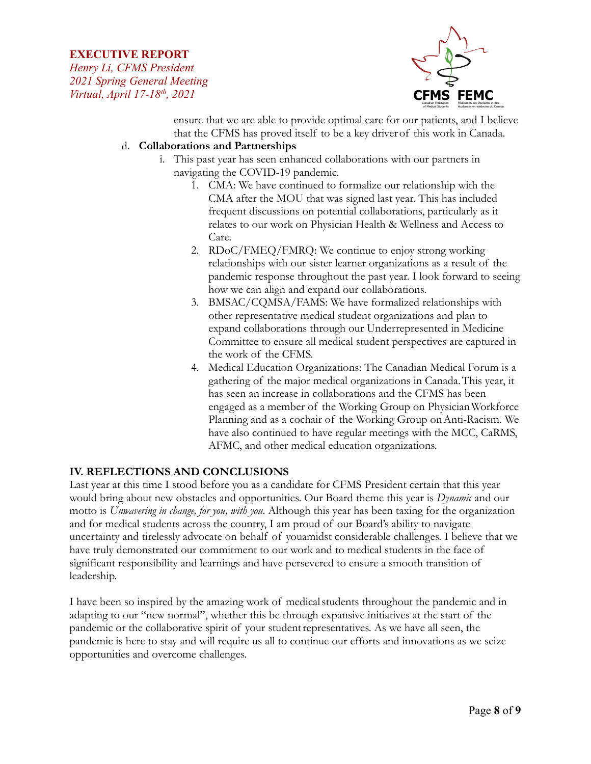*Henry Li, CFMS President 2021 Spring General Meeting Virtual, April 17-18th , 2021*



ensure that we are able to provide optimal care for our patients, and I believe that the CFMS has proved itself to be a key driverof this work in Canada.

### d. **Collaborations and Partnerships**

- i. This past year has seen enhanced collaborations with our partners in navigating the COVID-19 pandemic.
	- 1. CMA: We have continued to formalize our relationship with the CMA after the MOU that was signed last year. This has included frequent discussions on potential collaborations, particularly as it relates to our work on Physician Health & Wellness and Access to Care.
	- 2. RDoC/FMEQ/FMRQ: We continue to enjoy strong working relationships with our sister learner organizations as a result of the pandemic response throughout the past year. I look forward to seeing how we can align and expand our collaborations.
	- 3. BMSAC/CQMSA/FAMS: We have formalized relationships with other representative medical student organizations and plan to expand collaborations through our Underrepresented in Medicine Committee to ensure all medical student perspectives are captured in the work of the CFMS.
	- 4. Medical Education Organizations: The Canadian Medical Forum is a gathering of the major medical organizations in Canada.This year, it has seen an increase in collaborations and the CFMS has been engaged as a member of the Working Group on PhysicianWorkforce Planning and as a cochair of the Working Group on Anti-Racism. We have also continued to have regular meetings with the MCC, CaRMS, AFMC, and other medical education organizations.

# **IV. REFLECTIONS AND CONCLUSIONS**

Last year at this time I stood before you as a candidate for CFMS President certain that this year would bring about new obstacles and opportunities. Our Board theme this year is *Dynamic* and our motto is *Unwavering in change, for you, with you*. Although this year has been taxing for the organization and for medical students across the country, I am proud of our Board's ability to navigate uncertainty and tirelessly advocate on behalf of youamidst considerable challenges. I believe that we have truly demonstrated our commitment to our work and to medical students in the face of significant responsibility and learnings and have persevered to ensure a smooth transition of leadership.

I have been so inspired by the amazing work of medicalstudents throughout the pandemic and in adapting to our "new normal", whether this be through expansive initiatives at the start of the pandemic or the collaborative spirit of your studentrepresentatives. As we have all seen, the pandemic is here to stay and will require us all to continue our efforts and innovations as we seize opportunities and overcome challenges.